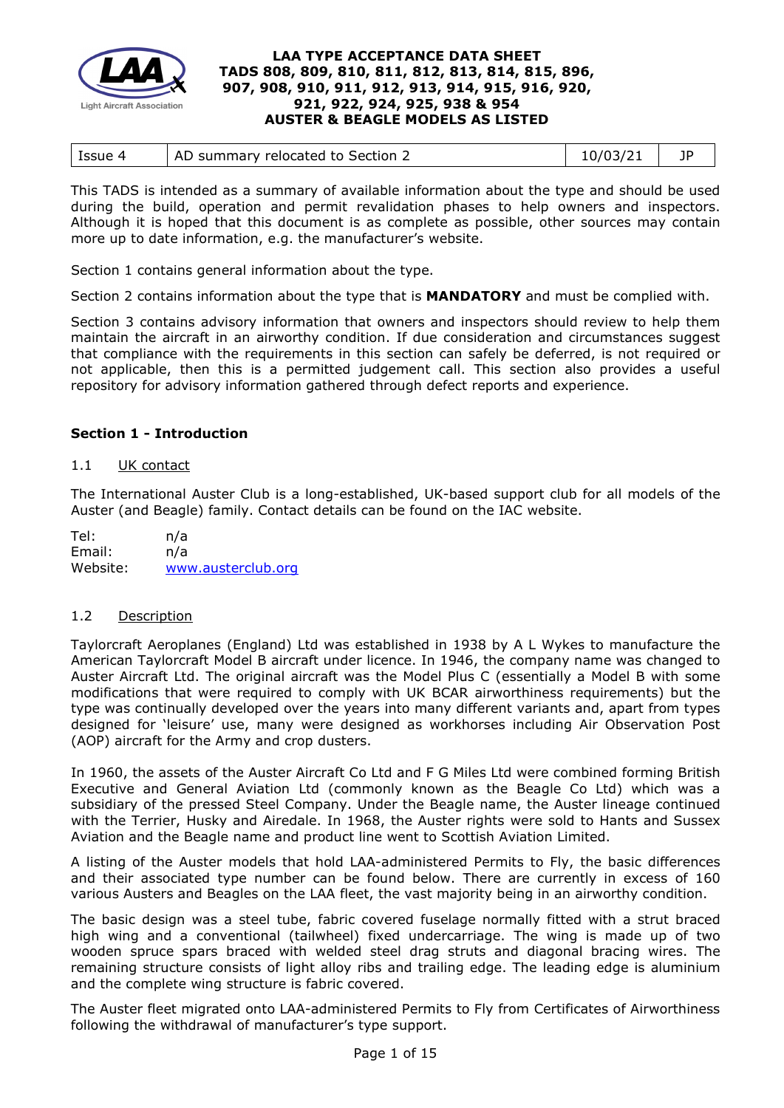

| 10/03/21<br>Issue 4<br>AD summary relocated to Section 2 |
|----------------------------------------------------------|
|----------------------------------------------------------|

This TADS is intended as a summary of available information about the type and should be used during the build, operation and permit revalidation phases to help owners and inspectors. Although it is hoped that this document is as complete as possible, other sources may contain more up to date information, e.g. the manufacturer's website.

Section 1 contains general information about the type.

Section 2 contains information about the type that is **MANDATORY** and must be complied with.

Section 3 contains advisory information that owners and inspectors should review to help them maintain the aircraft in an airworthy condition. If due consideration and circumstances suggest that compliance with the requirements in this section can safely be deferred, is not required or not applicable, then this is a permitted judgement call. This section also provides a useful repository for advisory information gathered through defect reports and experience.

### **Section 1 - Introduction**

### 1.1 UK contact

The International Auster Club is a long-established, UK-based support club for all models of the Auster (and Beagle) family. Contact details can be found on the IAC website.

Tel: n/a Email: n/a Website: [www.austerclub.org](http://www.austerclub.org/)

### 1.2 Description

Taylorcraft Aeroplanes (England) Ltd was established in 1938 by A L Wykes to manufacture the American Taylorcraft Model B aircraft under licence. In 1946, the company name was changed to Auster Aircraft Ltd. The original aircraft was the Model Plus C (essentially a Model B with some modifications that were required to comply with UK BCAR airworthiness requirements) but the type was continually developed over the years into many different variants and, apart from types designed for 'leisure' use, many were designed as workhorses including Air Observation Post (AOP) aircraft for the Army and crop dusters.

In 1960, the assets of the Auster Aircraft Co Ltd and F G Miles Ltd were combined forming British Executive and General Aviation Ltd (commonly known as the Beagle Co Ltd) which was a subsidiary of the pressed Steel Company. Under the Beagle name, the Auster lineage continued with the Terrier, Husky and Airedale. In 1968, the Auster rights were sold to Hants and Sussex Aviation and the Beagle name and product line went to Scottish Aviation Limited.

A listing of the Auster models that hold LAA-administered Permits to Fly, the basic differences and their associated type number can be found below. There are currently in excess of 160 various Austers and Beagles on the LAA fleet, the vast majority being in an airworthy condition.

The basic design was a steel tube, fabric covered fuselage normally fitted with a strut braced high wing and a conventional (tailwheel) fixed undercarriage. The wing is made up of two wooden spruce spars braced with welded steel drag struts and diagonal bracing wires. The remaining structure consists of light alloy ribs and trailing edge. The leading edge is aluminium and the complete wing structure is fabric covered.

The Auster fleet migrated onto LAA-administered Permits to Fly from Certificates of Airworthiness following the withdrawal of manufacturer's type support.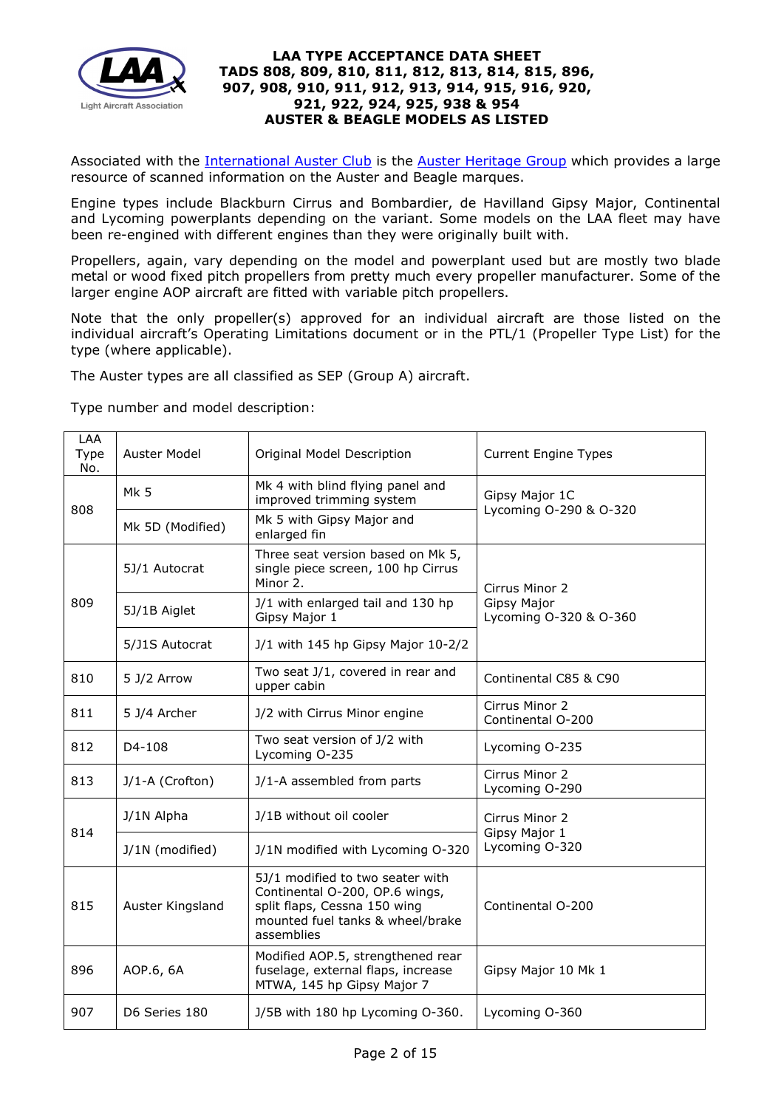

Associated with the [International Auster Club](http://www.austerclub.org/) is the [Auster Heritage Group](http://www.austerhg.org/index.php) which provides a large resource of scanned information on the Auster and Beagle marques.

Engine types include Blackburn Cirrus and Bombardier, de Havilland Gipsy Major, Continental and Lycoming powerplants depending on the variant. Some models on the LAA fleet may have been re-engined with different engines than they were originally built with.

Propellers, again, vary depending on the model and powerplant used but are mostly two blade metal or wood fixed pitch propellers from pretty much every propeller manufacturer. Some of the larger engine AOP aircraft are fitted with variable pitch propellers.

Note that the only propeller(s) approved for an individual aircraft are those listed on the individual aircraft's Operating Limitations document or in the PTL/1 (Propeller Type List) for the type (where applicable).

The Auster types are all classified as SEP (Group A) aircraft.

Type number and model description:

| <b>LAA</b><br>Type<br>No. | Auster Model     | Original Model Description                                                                                                                           | <b>Current Engine Types</b>              |  |
|---------------------------|------------------|------------------------------------------------------------------------------------------------------------------------------------------------------|------------------------------------------|--|
| 808                       | Mk 5             | Mk 4 with blind flying panel and<br>improved trimming system                                                                                         | Gipsy Major 1C<br>Lycoming O-290 & O-320 |  |
|                           | Mk 5D (Modified) | Mk 5 with Gipsy Major and<br>enlarged fin                                                                                                            |                                          |  |
|                           | 5J/1 Autocrat    | Three seat version based on Mk 5,<br>single piece screen, 100 hp Cirrus<br>Minor 2.                                                                  | Cirrus Minor 2                           |  |
| 809                       | 5J/1B Aiglet     | J/1 with enlarged tail and 130 hp<br>Gipsy Major 1                                                                                                   | Gipsy Major<br>Lycoming O-320 & O-360    |  |
|                           | 5/J1S Autocrat   | J/1 with 145 hp Gipsy Major 10-2/2                                                                                                                   |                                          |  |
| 810                       | 5 J/2 Arrow      | Two seat J/1, covered in rear and<br>upper cabin                                                                                                     | Continental C85 & C90                    |  |
| 811                       | 5 J/4 Archer     | J/2 with Cirrus Minor engine                                                                                                                         | Cirrus Minor 2<br>Continental O-200      |  |
| 812                       | D4-108           | Two seat version of J/2 with<br>Lycoming O-235                                                                                                       | Lycoming O-235                           |  |
| 813                       | J/1-A (Crofton)  | J/1-A assembled from parts                                                                                                                           | Cirrus Minor 2<br>Lycoming O-290         |  |
| 814                       | J/1N Alpha       | J/1B without oil cooler                                                                                                                              | Cirrus Minor 2<br>Gipsy Major 1          |  |
|                           | J/1N (modified)  | J/1N modified with Lycoming O-320                                                                                                                    | Lycoming O-320                           |  |
| 815                       | Auster Kingsland | 5J/1 modified to two seater with<br>Continental O-200, OP.6 wings,<br>split flaps, Cessna 150 wing<br>mounted fuel tanks & wheel/brake<br>assemblies | Continental O-200                        |  |
| 896                       | AOP.6, 6A        | Modified AOP.5, strengthened rear<br>fuselage, external flaps, increase<br>MTWA, 145 hp Gipsy Major 7                                                | Gipsy Major 10 Mk 1                      |  |
| 907                       | D6 Series 180    | J/5B with 180 hp Lycoming O-360.                                                                                                                     | Lycoming O-360                           |  |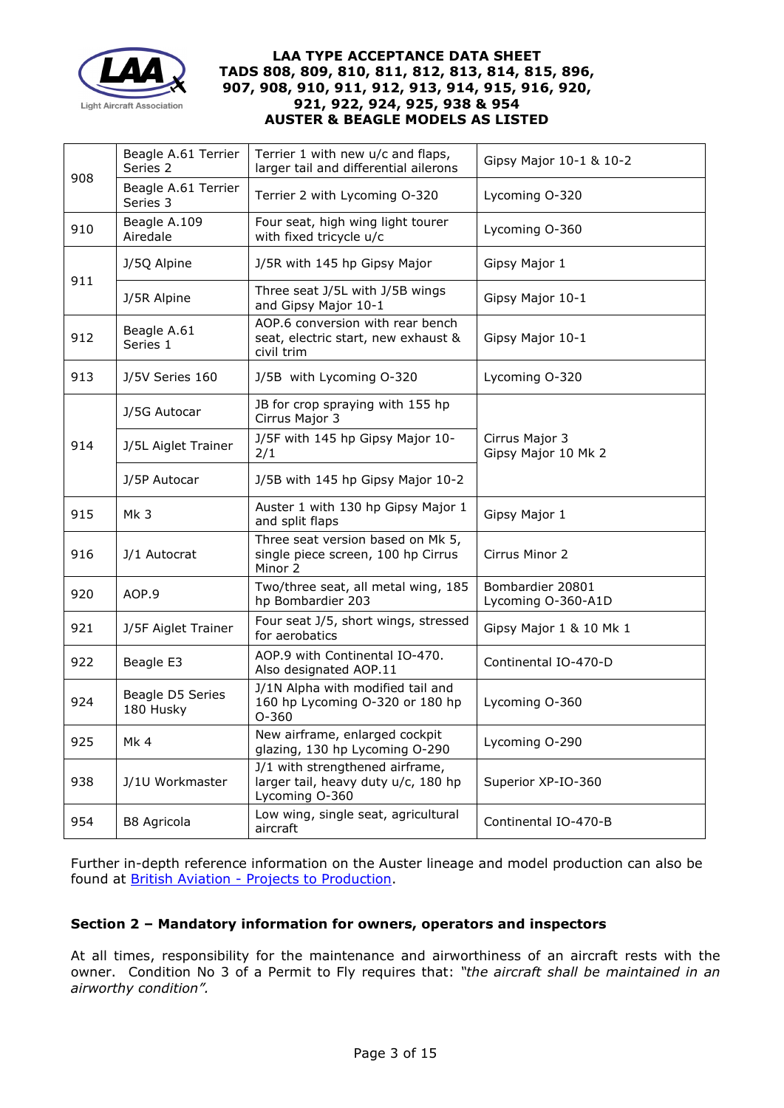

|     | Beagle A.61 Terrier<br>Series 2 | Terrier 1 with new u/c and flaps,<br>larger tail and differential ailerons               | Gipsy Major 10-1 & 10-2                |  |
|-----|---------------------------------|------------------------------------------------------------------------------------------|----------------------------------------|--|
| 908 | Beagle A.61 Terrier<br>Series 3 | Terrier 2 with Lycoming O-320                                                            | Lycoming O-320                         |  |
| 910 | Beagle A.109<br>Airedale        | Four seat, high wing light tourer<br>with fixed tricycle u/c                             | Lycoming O-360                         |  |
| 911 | J/5Q Alpine                     | J/5R with 145 hp Gipsy Major                                                             | Gipsy Major 1                          |  |
|     | J/5R Alpine                     | Three seat J/5L with J/5B wings<br>and Gipsy Major 10-1                                  | Gipsy Major 10-1                       |  |
| 912 | Beagle A.61<br>Series 1         | AOP.6 conversion with rear bench<br>seat, electric start, new exhaust &<br>civil trim    | Gipsy Major 10-1                       |  |
| 913 | J/5V Series 160                 | J/5B with Lycoming O-320                                                                 | Lycoming O-320                         |  |
|     | J/5G Autocar                    | JB for crop spraying with 155 hp<br>Cirrus Major 3                                       |                                        |  |
| 914 | J/5L Aiglet Trainer             | J/5F with 145 hp Gipsy Major 10-<br>2/1                                                  | Cirrus Major 3<br>Gipsy Major 10 Mk 2  |  |
|     | J/5P Autocar                    | J/5B with 145 hp Gipsy Major 10-2                                                        |                                        |  |
| 915 | Mk 3                            | Auster 1 with 130 hp Gipsy Major 1<br>and split flaps                                    | Gipsy Major 1                          |  |
| 916 | J/1 Autocrat                    | Three seat version based on Mk 5,<br>single piece screen, 100 hp Cirrus<br>Minor 2       | Cirrus Minor 2                         |  |
| 920 | AOP.9                           | Two/three seat, all metal wing, 185<br>hp Bombardier 203                                 | Bombardier 20801<br>Lycoming O-360-A1D |  |
| 921 | J/5F Aiglet Trainer             | Four seat J/5, short wings, stressed<br>for aerobatics                                   | Gipsy Major 1 & 10 Mk 1                |  |
| 922 | Beagle E3                       | AOP.9 with Continental IO-470.<br>Also designated AOP.11                                 | Continental IO-470-D                   |  |
| 924 | Beagle D5 Series<br>180 Husky   | J/1N Alpha with modified tail and<br>160 hp Lycoming O-320 or 180 hp<br>$O-360$          | Lycoming O-360                         |  |
| 925 | Mk4                             | New airframe, enlarged cockpit<br>glazing, 130 hp Lycoming O-290                         | Lycoming O-290                         |  |
| 938 | J/1U Workmaster                 | J/1 with strengthened airframe,<br>larger tail, heavy duty u/c, 180 hp<br>Lycoming O-360 | Superior XP-IO-360                     |  |
| 954 | B8 Agricola                     | Low wing, single seat, agricultural<br>aircraft                                          | Continental IO-470-B                   |  |

Further in-depth reference information on the Auster lineage and model production can also be found at **British Aviation - Projects to Production**.

# **Section 2 – Mandatory information for owners, operators and inspectors**

At all times, responsibility for the maintenance and airworthiness of an aircraft rests with the owner. Condition No 3 of a Permit to Fly requires that: *"the aircraft shall be maintained in an airworthy condition".*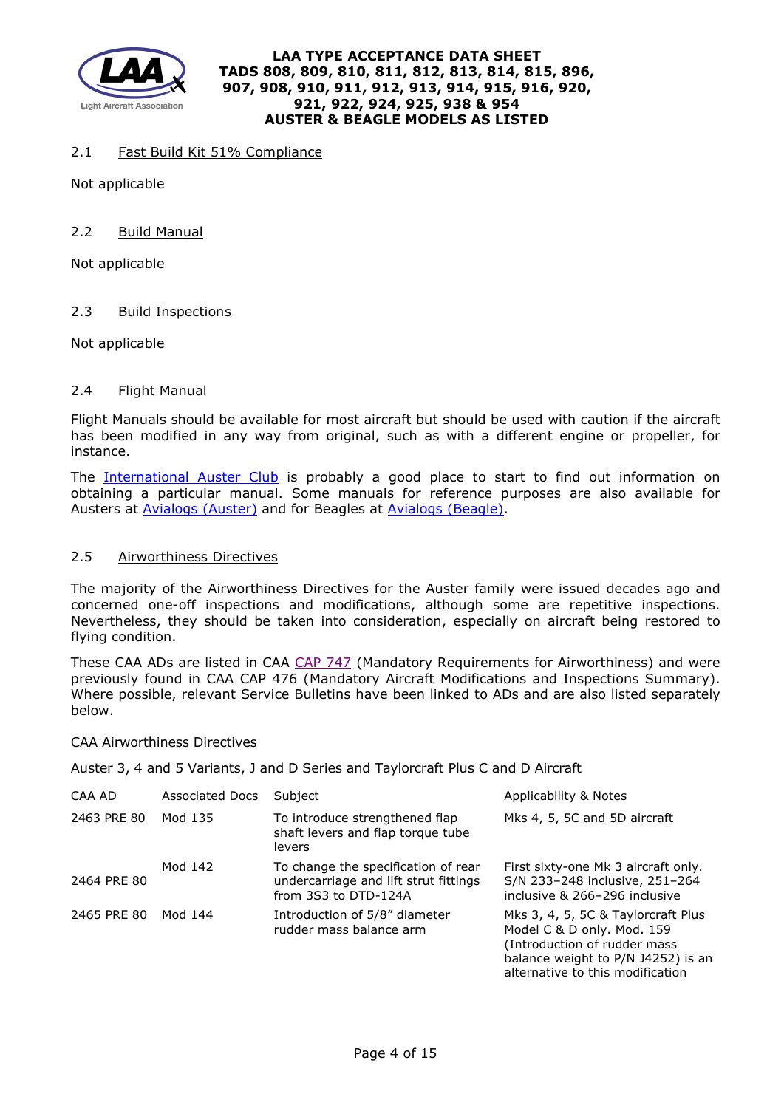

## 2.1 Fast Build Kit 51% Compliance

Not applicable

## 2.2 Build Manual

Not applicable

## 2.3 Build Inspections

Not applicable

## 2.4 Flight Manual

Flight Manuals should be available for most aircraft but should be used with caution if the aircraft has been modified in any way from original, such as with a different engine or propeller, for instance.

The [International Auster Club](http://www.austerclub.org/) is probably a good place to start to find out information on obtaining a particular manual. Some manuals for reference purposes are also available for Austers at [Avialogs \(Auster\)](http://www.avialogs.com/index.php/en/aircraft/uk/beagle-aircraft/a61/flight-manual-for-the-beagle-a-61-series-2.html) and for Beagles at [Avialogs \(Beagle\).](http://www.avialogs.com/index.php/en/aircraft/uk/beagle-aircraft/a61.html)

### 2.5 Airworthiness Directives

The majority of the Airworthiness Directives for the Auster family were issued decades ago and concerned one-off inspections and modifications, although some are repetitive inspections. Nevertheless, they should be taken into consideration, especially on aircraft being restored to flying condition.

These CAA ADs are listed in CAA [CAP 747](http://caa.co.uk/cap747) (Mandatory Requirements for Airworthiness) and were previously found in CAA CAP 476 (Mandatory Aircraft Modifications and Inspections Summary). Where possible, relevant Service Bulletins have been linked to ADs and are also listed separately below.

### CAA Airworthiness Directives

Auster 3, 4 and 5 Variants, J and D Series and Taylorcraft Plus C and D Aircraft

| CAA AD      | <b>Associated Docs</b> | Subject                                                                                              | Applicability & Notes                                                                                                                                                      |
|-------------|------------------------|------------------------------------------------------------------------------------------------------|----------------------------------------------------------------------------------------------------------------------------------------------------------------------------|
| 2463 PRE 80 | Mod 135                | To introduce strengthened flap<br>shaft levers and flap torque tube<br>levers                        | Mks 4, 5, 5C and 5D aircraft                                                                                                                                               |
| 2464 PRE 80 | Mod 142                | To change the specification of rear<br>undercarriage and lift strut fittings<br>from 3S3 to DTD-124A | First sixty-one Mk 3 aircraft only.<br>S/N 233-248 inclusive, 251-264<br>inclusive & 266-296 inclusive                                                                     |
| 2465 PRE 80 | Mod 144                | Introduction of 5/8" diameter<br>rudder mass balance arm                                             | Mks 3, 4, 5, 5C & Taylorcraft Plus<br>Model C & D only. Mod. 159<br>(Introduction of rudder mass<br>balance weight to P/N J4252) is an<br>alternative to this modification |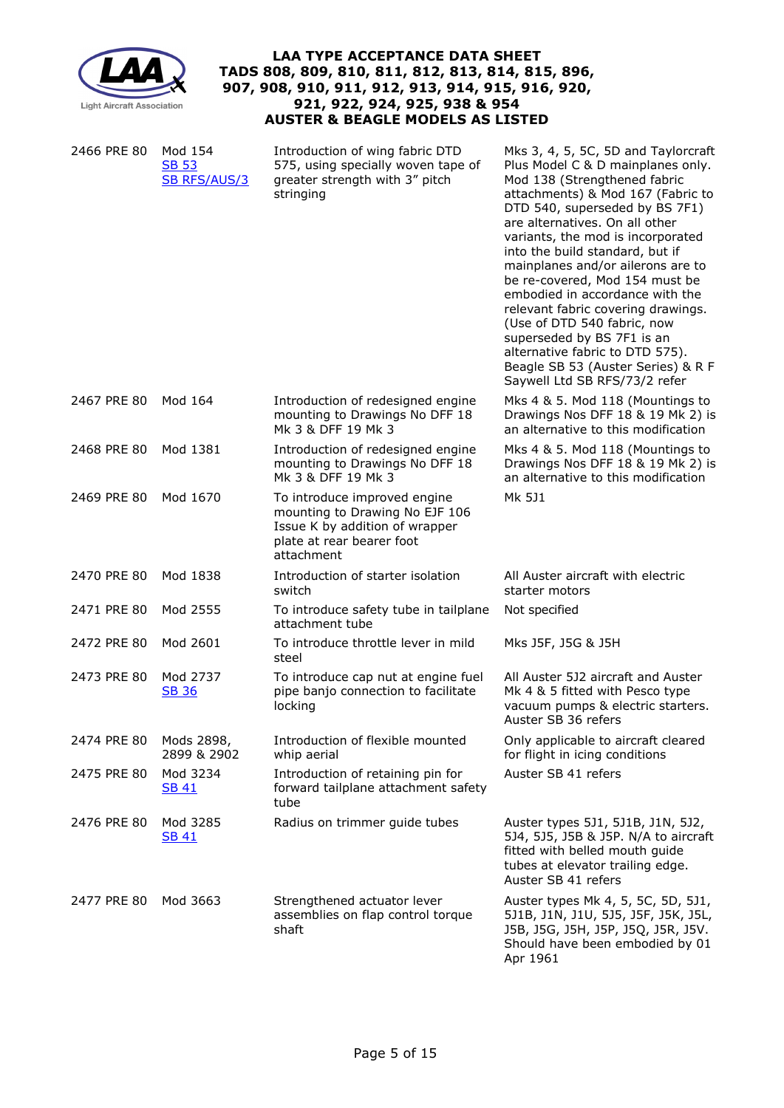

| 2466 PRE 80 | Mod 154<br><b>SB 53</b><br><b>SB RFS/AUS/3</b> | Introduction of wing fabric DTD<br>575, using specially woven tape of<br>greater strength with 3" pitch<br>stringing                        | Mks 3, 4, 5, 5C, 5D and Taylorcraft<br>Plus Model C & D mainplanes only.<br>Mod 138 (Strengthened fabric<br>attachments) & Mod 167 (Fabric to<br>DTD 540, superseded by BS 7F1)<br>are alternatives. On all other<br>variants, the mod is incorporated<br>into the build standard, but if<br>mainplanes and/or ailerons are to<br>be re-covered, Mod 154 must be<br>embodied in accordance with the<br>relevant fabric covering drawings.<br>(Use of DTD 540 fabric, now<br>superseded by BS 7F1 is an<br>alternative fabric to DTD 575).<br>Beagle SB 53 (Auster Series) & R F<br>Saywell Ltd SB RFS/73/2 refer |
|-------------|------------------------------------------------|---------------------------------------------------------------------------------------------------------------------------------------------|------------------------------------------------------------------------------------------------------------------------------------------------------------------------------------------------------------------------------------------------------------------------------------------------------------------------------------------------------------------------------------------------------------------------------------------------------------------------------------------------------------------------------------------------------------------------------------------------------------------|
| 2467 PRE 80 | Mod 164                                        | Introduction of redesigned engine<br>mounting to Drawings No DFF 18<br>Mk 3 & DFF 19 Mk 3                                                   | Mks 4 & 5. Mod 118 (Mountings to<br>Drawings Nos DFF 18 & 19 Mk 2) is<br>an alternative to this modification                                                                                                                                                                                                                                                                                                                                                                                                                                                                                                     |
| 2468 PRE 80 | Mod 1381                                       | Introduction of redesigned engine<br>mounting to Drawings No DFF 18<br>Mk 3 & DFF 19 Mk 3                                                   | Mks 4 & 5. Mod 118 (Mountings to<br>Drawings Nos DFF 18 & 19 Mk 2) is<br>an alternative to this modification                                                                                                                                                                                                                                                                                                                                                                                                                                                                                                     |
| 2469 PRE 80 | Mod 1670                                       | To introduce improved engine<br>mounting to Drawing No EJF 106<br>Issue K by addition of wrapper<br>plate at rear bearer foot<br>attachment | Mk 5J1                                                                                                                                                                                                                                                                                                                                                                                                                                                                                                                                                                                                           |
| 2470 PRE 80 | Mod 1838                                       | Introduction of starter isolation<br>switch                                                                                                 | All Auster aircraft with electric<br>starter motors                                                                                                                                                                                                                                                                                                                                                                                                                                                                                                                                                              |
| 2471 PRE 80 | Mod 2555                                       | To introduce safety tube in tailplane<br>attachment tube                                                                                    | Not specified                                                                                                                                                                                                                                                                                                                                                                                                                                                                                                                                                                                                    |
| 2472 PRE 80 | Mod 2601                                       | To introduce throttle lever in mild<br>steel                                                                                                | Mks J5F, J5G & J5H                                                                                                                                                                                                                                                                                                                                                                                                                                                                                                                                                                                               |
| 2473 PRE 80 | Mod 2737<br><b>SB 36</b>                       | To introduce cap nut at engine fuel<br>pipe banjo connection to facilitate<br>locking                                                       | All Auster 5J2 aircraft and Auster<br>Mk 4 & 5 fitted with Pesco type<br>vacuum pumps & electric starters.<br>Auster SB 36 refers                                                                                                                                                                                                                                                                                                                                                                                                                                                                                |
| 2474 PRE 80 | Mods 2898,<br>2899 & 2902                      | Introduction of flexible mounted<br>whip aerial                                                                                             | Only applicable to aircraft cleared<br>for flight in icing conditions                                                                                                                                                                                                                                                                                                                                                                                                                                                                                                                                            |
| 2475 PRE 80 | Mod 3234<br><b>SB 41</b>                       | Introduction of retaining pin for<br>forward tailplane attachment safety<br>tube                                                            | Auster SB 41 refers                                                                                                                                                                                                                                                                                                                                                                                                                                                                                                                                                                                              |
| 2476 PRE 80 | Mod 3285<br><b>SB 41</b>                       | Radius on trimmer guide tubes                                                                                                               | Auster types 5J1, 5J1B, J1N, 5J2,<br>5J4, 5J5, J5B & J5P. N/A to aircraft<br>fitted with belled mouth guide<br>tubes at elevator trailing edge.<br>Auster SB 41 refers                                                                                                                                                                                                                                                                                                                                                                                                                                           |
| 2477 PRE 80 | Mod 3663                                       | Strengthened actuator lever<br>assemblies on flap control torque<br>shaft                                                                   | Auster types Mk 4, 5, 5C, 5D, 5J1,<br>5J1B, J1N, J1U, 5J5, J5F, J5K, J5L,<br>J5B, J5G, J5H, J5P, J5Q, J5R, J5V.<br>Should have been embodied by 01<br>Apr 1961                                                                                                                                                                                                                                                                                                                                                                                                                                                   |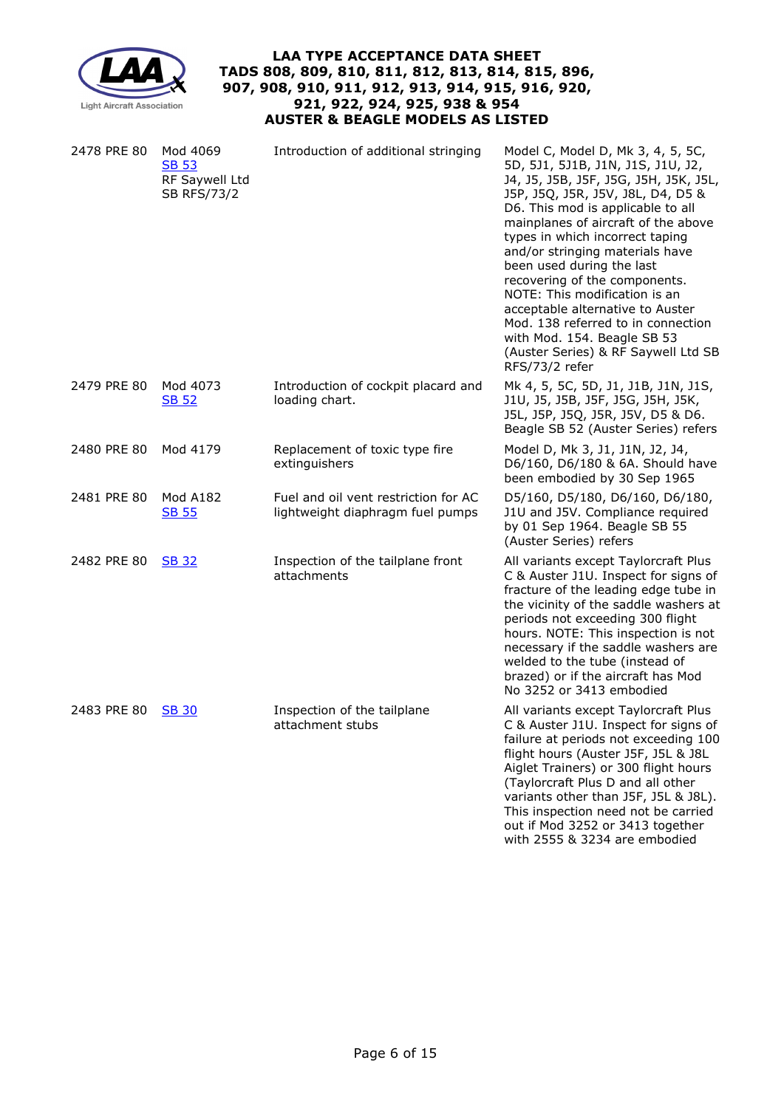

| 2478 PRE 80 | Mod 4069<br><b>SB 53</b><br>RF Saywell Ltd<br><b>SB RFS/73/2</b> | Introduction of additional stringing                                     | Model C, Model D, Mk 3, 4, 5, 5C,<br>5D, 5J1, 5J1B, J1N, J1S, J1U, J2,<br>J4, J5, J5B, J5F, J5G, J5H, J5K, J5L,<br>J5P, J5Q, J5R, J5V, J8L, D4, D5 &<br>D6. This mod is applicable to all<br>mainplanes of aircraft of the above<br>types in which incorrect taping<br>and/or stringing materials have<br>been used during the last<br>recovering of the components.<br>NOTE: This modification is an<br>acceptable alternative to Auster<br>Mod. 138 referred to in connection<br>with Mod. 154. Beagle SB 53<br>(Auster Series) & RF Saywell Ltd SB<br>RFS/73/2 refer |
|-------------|------------------------------------------------------------------|--------------------------------------------------------------------------|-------------------------------------------------------------------------------------------------------------------------------------------------------------------------------------------------------------------------------------------------------------------------------------------------------------------------------------------------------------------------------------------------------------------------------------------------------------------------------------------------------------------------------------------------------------------------|
| 2479 PRE 80 | Mod 4073<br><b>SB 52</b>                                         | Introduction of cockpit placard and<br>loading chart.                    | Mk 4, 5, 5C, 5D, J1, J1B, J1N, J1S,<br>J1U, J5, J5B, J5F, J5G, J5H, J5K,<br>J5L, J5P, J5Q, J5R, J5V, D5 & D6.<br>Beagle SB 52 (Auster Series) refers                                                                                                                                                                                                                                                                                                                                                                                                                    |
| 2480 PRE 80 | Mod 4179                                                         | Replacement of toxic type fire<br>extinguishers                          | Model D, Mk 3, J1, J1N, J2, J4,<br>D6/160, D6/180 & 6A. Should have<br>been embodied by 30 Sep 1965                                                                                                                                                                                                                                                                                                                                                                                                                                                                     |
| 2481 PRE 80 | <b>Mod A182</b><br><b>SB 55</b>                                  | Fuel and oil vent restriction for AC<br>lightweight diaphragm fuel pumps | D5/160, D5/180, D6/160, D6/180,<br>J1U and J5V. Compliance required<br>by 01 Sep 1964. Beagle SB 55<br>(Auster Series) refers                                                                                                                                                                                                                                                                                                                                                                                                                                           |
| 2482 PRE 80 | <b>SB 32</b>                                                     | Inspection of the tailplane front<br>attachments                         | All variants except Taylorcraft Plus<br>C & Auster J1U. Inspect for signs of<br>fracture of the leading edge tube in<br>the vicinity of the saddle washers at<br>periods not exceeding 300 flight<br>hours. NOTE: This inspection is not<br>necessary if the saddle washers are<br>welded to the tube (instead of<br>brazed) or if the aircraft has Mod<br>No 3252 or 3413 embodied                                                                                                                                                                                     |
| 2483 PRE 80 | <b>SB 30</b>                                                     | Inspection of the tailplane<br>attachment stubs                          | All variants except Taylorcraft Plus<br>C & Auster J1U. Inspect for signs of<br>failure at periods not exceeding 100<br>flight hours (Auster J5F, J5L & J8L<br>Aiglet Trainers) or 300 flight hours<br>(Taylorcraft Plus D and all other<br>variants other than J5F, J5L & J8L).<br>This inspection need not be carried<br>out if Mod 3252 or 3413 together<br>with 2555 & 3234 are embodied                                                                                                                                                                            |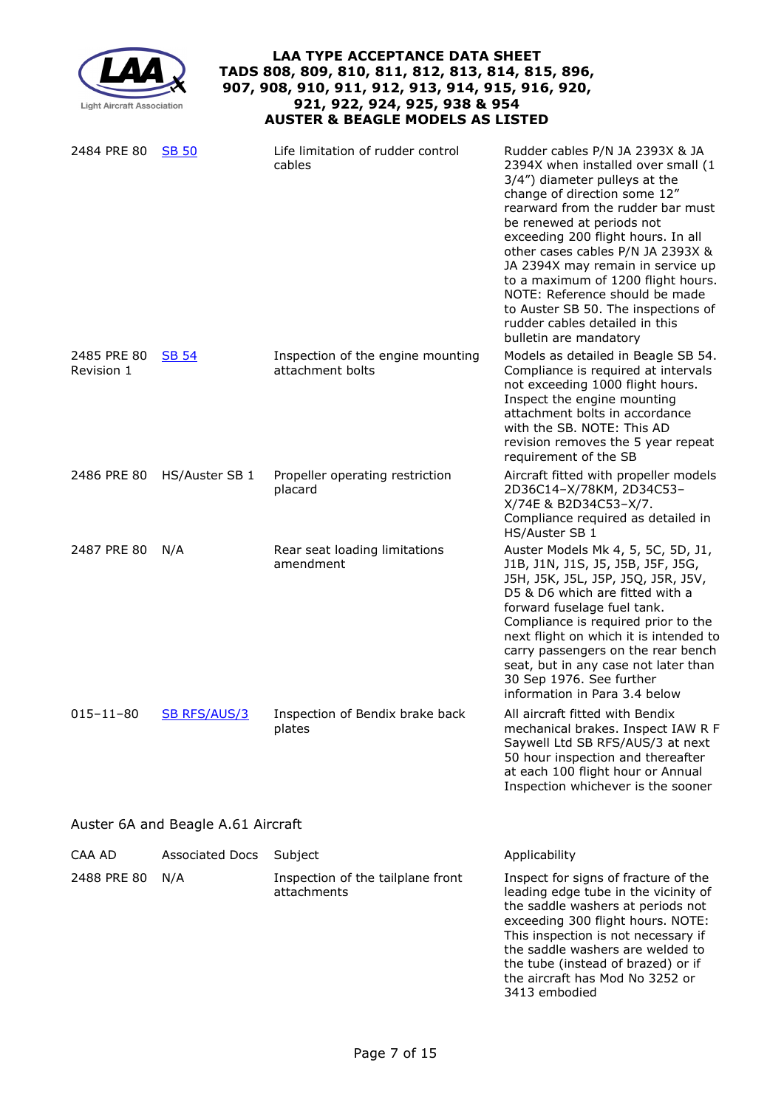| <b>LAA TYPE ACCEPTANCE DATA SHEET</b><br>TADS 808, 809, 810, 811, 812, 813, 814, 815, 896,<br>907, 908, 910, 911, 912, 913, 914, 915, 916, 920,<br>921, 922, 924, 925, 938 & 954<br><b>Light Aircraft Association</b><br><b>AUSTER &amp; BEAGLE MODELS AS LISTED</b> |                                    |                                                       |                                                                                                                                                                                                                                                                                                                                                                                                                                                                                                     |  |
|----------------------------------------------------------------------------------------------------------------------------------------------------------------------------------------------------------------------------------------------------------------------|------------------------------------|-------------------------------------------------------|-----------------------------------------------------------------------------------------------------------------------------------------------------------------------------------------------------------------------------------------------------------------------------------------------------------------------------------------------------------------------------------------------------------------------------------------------------------------------------------------------------|--|
| 2484 PRE 80                                                                                                                                                                                                                                                          | <b>SB 50</b>                       | Life limitation of rudder control<br>cables           | Rudder cables P/N JA 2393X & JA<br>2394X when installed over small (1<br>3/4") diameter pulleys at the<br>change of direction some 12"<br>rearward from the rudder bar must<br>be renewed at periods not<br>exceeding 200 flight hours. In all<br>other cases cables P/N JA 2393X &<br>JA 2394X may remain in service up<br>to a maximum of 1200 flight hours.<br>NOTE: Reference should be made<br>to Auster SB 50. The inspections of<br>rudder cables detailed in this<br>bulletin are mandatory |  |
| 2485 PRE 80<br>Revision 1                                                                                                                                                                                                                                            | <b>SB 54</b>                       | Inspection of the engine mounting<br>attachment bolts | Models as detailed in Beagle SB 54.<br>Compliance is required at intervals<br>not exceeding 1000 flight hours.<br>Inspect the engine mounting<br>attachment bolts in accordance<br>with the SB. NOTE: This AD<br>revision removes the 5 year repeat<br>requirement of the SB                                                                                                                                                                                                                        |  |
|                                                                                                                                                                                                                                                                      | 2486 PRE 80 HS/Auster SB 1         | Propeller operating restriction<br>placard            | Aircraft fitted with propeller models<br>2D36C14-X/78KM, 2D34C53-<br>X/74E & B2D34C53-X/7.<br>Compliance required as detailed in<br>HS/Auster SB 1                                                                                                                                                                                                                                                                                                                                                  |  |
| 2487 PRE 80                                                                                                                                                                                                                                                          | N/A                                | Rear seat loading limitations<br>amendment            | Auster Models Mk 4, 5, 5C, 5D, J1,<br>J1B, J1N, J1S, J5, J5B, J5F, J5G,<br>J5H, J5K, J5L, J5P, J5Q, J5R, J5V,<br>D5 & D6 which are fitted with a<br>forward fuselage fuel tank.<br>Compliance is required prior to the<br>next flight on which it is intended to<br>carry passengers on the rear bench<br>seat, but in any case not later than<br>30 Sep 1976. See further<br>information in Para 3.4 below                                                                                         |  |
| $015 - 11 - 80$                                                                                                                                                                                                                                                      | <b>SB RFS/AUS/3</b>                | Inspection of Bendix brake back<br>plates             | All aircraft fitted with Bendix<br>mechanical brakes. Inspect IAW R F<br>Saywell Ltd SB RFS/AUS/3 at next<br>50 hour inspection and thereafter<br>at each 100 flight hour or Annual<br>Inspection whichever is the sooner                                                                                                                                                                                                                                                                           |  |
|                                                                                                                                                                                                                                                                      | Auster 6A and Beagle A.61 Aircraft |                                                       |                                                                                                                                                                                                                                                                                                                                                                                                                                                                                                     |  |
| CAA AD                                                                                                                                                                                                                                                               | <b>Associated Docs</b>             | Subject                                               | Applicability                                                                                                                                                                                                                                                                                                                                                                                                                                                                                       |  |
| 2488 PRE 80                                                                                                                                                                                                                                                          | N/A                                | Inspection of the tailplane front<br>attachments      | Inspect for signs of fracture of the<br>leading edge tube in the vicinity of<br>the saddle washers at periods not<br>exceeding 300 flight hours. NOTE:<br>This inspection is not necessary if<br>the saddle washers are welded to<br>the tube (instead of brazed) or if<br>the aircraft has Mod No 3252 or<br>3413 embodied                                                                                                                                                                         |  |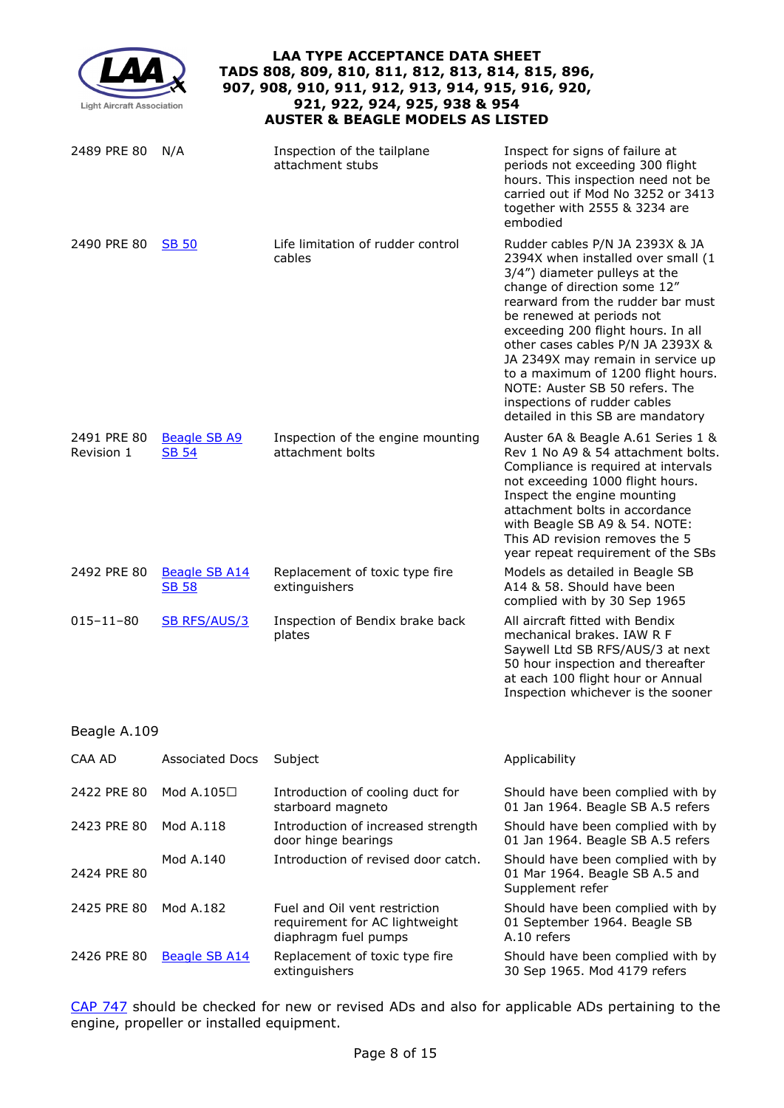| <b>LAA TYPE ACCEPTANCE DATA SHEET</b><br>TADS 808, 809, 810, 811, 812, 813, 814, 815, 896,<br>907, 908, 910, 911, 912, 913, 914, 915, 916, 920,<br>921, 922, 924, 925, 938 & 954<br><b>Light Aircraft Association</b><br><b>AUSTER &amp; BEAGLE MODELS AS LISTED</b> |                                      |                                                                                         |                                                                                                                                                                                                                                                                                                                                                                                                                                                                       |  |
|----------------------------------------------------------------------------------------------------------------------------------------------------------------------------------------------------------------------------------------------------------------------|--------------------------------------|-----------------------------------------------------------------------------------------|-----------------------------------------------------------------------------------------------------------------------------------------------------------------------------------------------------------------------------------------------------------------------------------------------------------------------------------------------------------------------------------------------------------------------------------------------------------------------|--|
| 2489 PRE 80                                                                                                                                                                                                                                                          | N/A                                  | Inspection of the tailplane<br>attachment stubs                                         | Inspect for signs of failure at<br>periods not exceeding 300 flight<br>hours. This inspection need not be<br>carried out if Mod No 3252 or 3413<br>together with 2555 & 3234 are<br>embodied                                                                                                                                                                                                                                                                          |  |
| 2490 PRE 80                                                                                                                                                                                                                                                          | <b>SB 50</b>                         | Life limitation of rudder control<br>cables                                             | Rudder cables P/N JA 2393X & JA<br>2394X when installed over small (1<br>3/4") diameter pulleys at the<br>change of direction some 12"<br>rearward from the rudder bar must<br>be renewed at periods not<br>exceeding 200 flight hours. In all<br>other cases cables P/N JA 2393X &<br>JA 2349X may remain in service up<br>to a maximum of 1200 flight hours.<br>NOTE: Auster SB 50 refers. The<br>inspections of rudder cables<br>detailed in this SB are mandatory |  |
| 2491 PRE 80<br>Revision 1                                                                                                                                                                                                                                            | <b>Beagle SB A9</b><br><b>SB 54</b>  | Inspection of the engine mounting<br>attachment bolts                                   | Auster 6A & Beagle A.61 Series 1 &<br>Rev 1 No A9 & 54 attachment bolts.<br>Compliance is required at intervals<br>not exceeding 1000 flight hours.<br>Inspect the engine mounting<br>attachment bolts in accordance<br>with Beagle SB A9 & 54. NOTE:<br>This AD revision removes the 5<br>year repeat requirement of the SBs                                                                                                                                         |  |
| 2492 PRE 80                                                                                                                                                                                                                                                          | <b>Beagle SB A14</b><br><b>SB 58</b> | Replacement of toxic type fire<br>extinguishers                                         | Models as detailed in Beagle SB<br>A14 & 58. Should have been<br>complied with by 30 Sep 1965                                                                                                                                                                                                                                                                                                                                                                         |  |
| $015 - 11 - 80$                                                                                                                                                                                                                                                      | <b>SB RFS/AUS/3</b>                  | Inspection of Bendix brake back<br>plates                                               | All aircraft fitted with Bendix<br>mechanical brakes. IAW R F<br>Saywell Ltd SB RFS/AUS/3 at next<br>50 hour inspection and thereafter<br>at each 100 flight hour or Annual<br>Inspection whichever is the sooner                                                                                                                                                                                                                                                     |  |
| Beagle A.109                                                                                                                                                                                                                                                         |                                      |                                                                                         |                                                                                                                                                                                                                                                                                                                                                                                                                                                                       |  |
| CAA AD                                                                                                                                                                                                                                                               | <b>Associated Docs</b>               | Subject                                                                                 | Applicability                                                                                                                                                                                                                                                                                                                                                                                                                                                         |  |
| 2422 PRE 80                                                                                                                                                                                                                                                          | Mod A.105□                           | Introduction of cooling duct for<br>starboard magneto                                   | Should have been complied with by<br>01 Jan 1964. Beagle SB A.5 refers                                                                                                                                                                                                                                                                                                                                                                                                |  |
| 2423 PRE 80                                                                                                                                                                                                                                                          | Mod A.118                            | Introduction of increased strength<br>door hinge bearings                               | Should have been complied with by<br>01 Jan 1964. Beagle SB A.5 refers                                                                                                                                                                                                                                                                                                                                                                                                |  |
| 2424 PRE 80                                                                                                                                                                                                                                                          | Mod A.140                            | Introduction of revised door catch.                                                     | Should have been complied with by<br>01 Mar 1964. Beagle SB A.5 and<br>Supplement refer                                                                                                                                                                                                                                                                                                                                                                               |  |
| 2425 PRE 80                                                                                                                                                                                                                                                          | Mod A.182                            | Fuel and Oil vent restriction<br>requirement for AC lightweight<br>diaphragm fuel pumps | Should have been complied with by<br>01 September 1964. Beagle SB<br>A.10 refers                                                                                                                                                                                                                                                                                                                                                                                      |  |
| 2426 PRE 80                                                                                                                                                                                                                                                          | <b>Beagle SB A14</b>                 | Replacement of toxic type fire<br>extinguishers                                         | Should have been complied with by<br>30 Sep 1965. Mod 4179 refers                                                                                                                                                                                                                                                                                                                                                                                                     |  |

[CAP 747](http://caa.co.uk/cap747) should be checked for new or revised ADs and also for applicable ADs pertaining to the engine, propeller or installed equipment.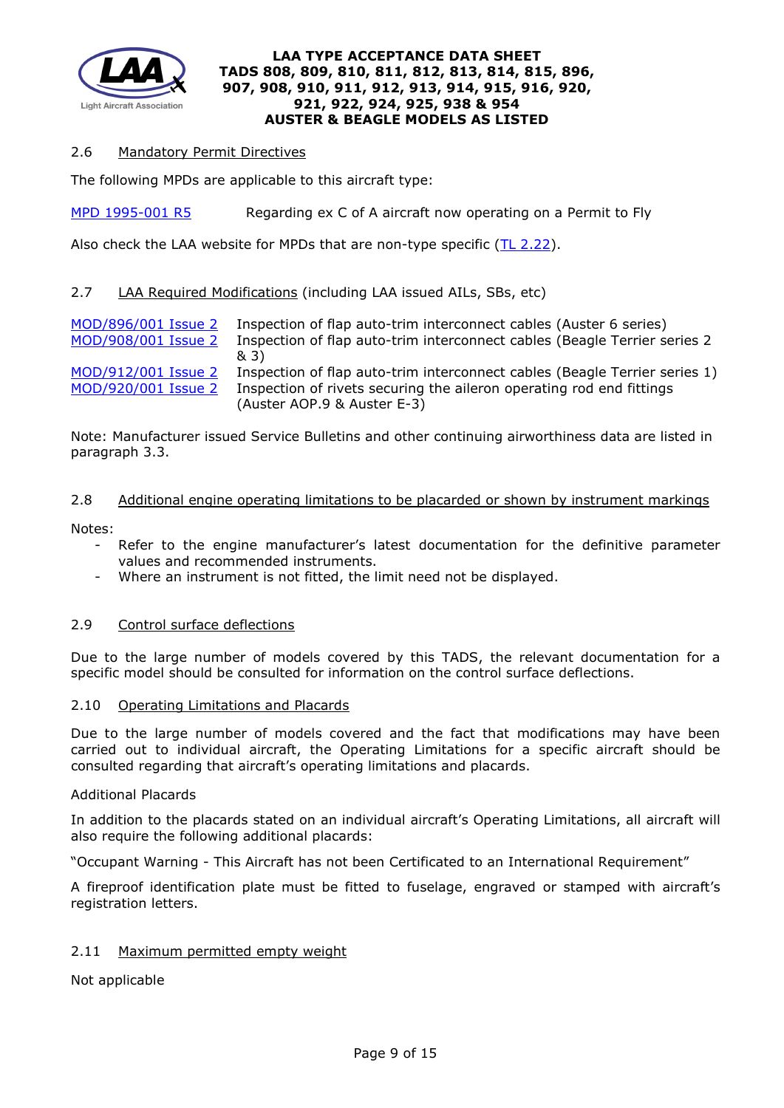

## 2.6 Mandatory Permit Directives

The following MPDs are applicable to this aircraft type:

[MPD 1995-001 R5](http://www.lightaircraftassociation.co.uk/engineering/TADs/808/MPD%201995-001%20R5.pdf) Regarding ex C of A aircraft now operating on a Permit to Fly

Also check the LAA website for MPDs that are non-type specific  $(TL 2.22)$ .

## 2.7 LAA Required Modifications (including LAA issued AILs, SBs, etc)

[MOD/896/001 Issue 2](http://www.lightaircraftassociation.co.uk/engineering/Auster6.pdf) Inspection of flap auto-trim interconnect cables (Auster 6 series) [MOD/908/001 Issue 2](http://www.lightaircraftassociation.co.uk/engineering/bt%20s%2023.pdf) Inspection of flap auto-trim interconnect cables (Beagle Terrier series 2 & 3) [MOD/912/001 Issue 2](http://www.lightaircraftassociation.co.uk/engineering/bt%20s.1.pdf) Inspection of flap auto-trim interconnect cables (Beagle Terrier series 1)<br>MOD/920/001 Issue 2 Inspection of rivets securing the aileron operating rod end fittings Inspection of rivets securing the aileron operating rod end fittings (Auster AOP.9 & Auster E-3)

Note: Manufacturer issued Service Bulletins and other continuing airworthiness data are listed in paragraph 3.3.

#### 2.8 Additional engine operating limitations to be placarded or shown by instrument markings

Notes:

- Refer to the engine manufacturer's latest documentation for the definitive parameter values and recommended instruments.
- Where an instrument is not fitted, the limit need not be displayed.

### 2.9 Control surface deflections

Due to the large number of models covered by this TADS, the relevant documentation for a specific model should be consulted for information on the control surface deflections.

#### 2.10 Operating Limitations and Placards

Due to the large number of models covered and the fact that modifications may have been carried out to individual aircraft, the Operating Limitations for a specific aircraft should be consulted regarding that aircraft's operating limitations and placards.

#### Additional Placards

In addition to the placards stated on an individual aircraft's Operating Limitations, all aircraft will also require the following additional placards:

"Occupant Warning - This Aircraft has not been Certificated to an International Requirement"

A fireproof identification plate must be fitted to fuselage, engraved or stamped with aircraft's registration letters.

### 2.11 Maximum permitted empty weight

Not applicable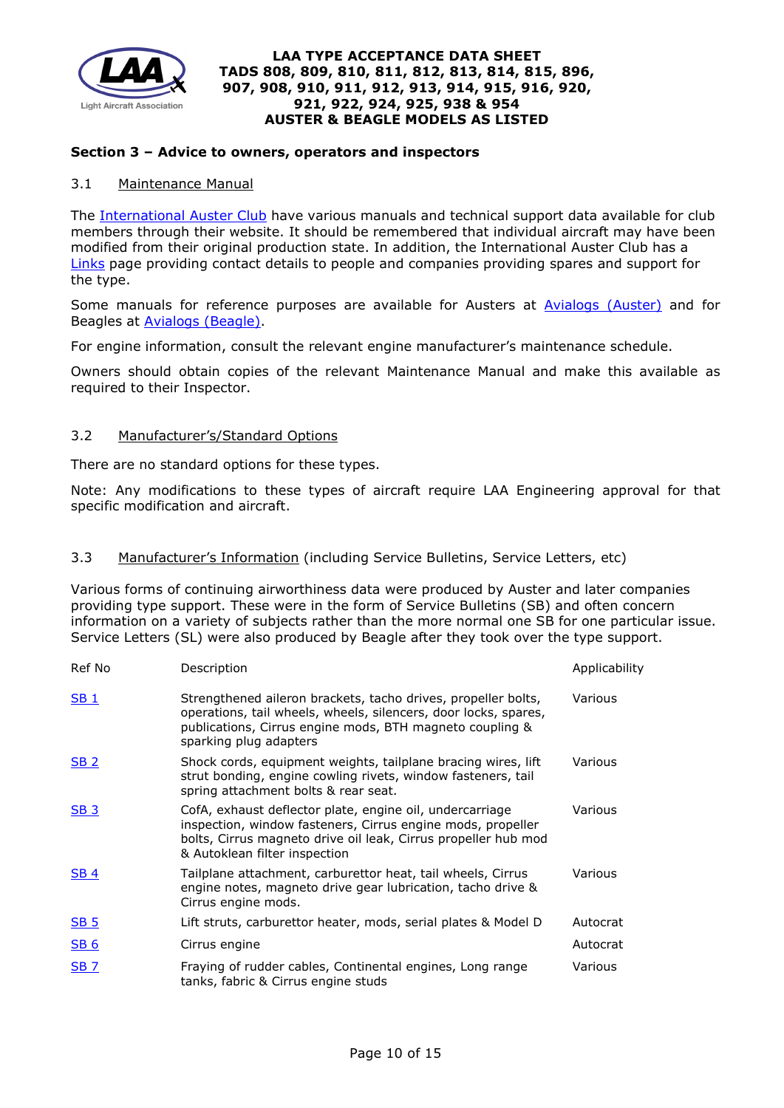

### **Section 3 – Advice to owners, operators and inspectors**

### 3.1 Maintenance Manual

The [International Auster Club](http://www.austerclub.org/) have various manuals and technical support data available for club members through their website. It should be remembered that individual aircraft may have been modified from their original production state. In addition, the International Auster Club has a [Links](http://www.austerclub.org/links/) page providing contact details to people and companies providing spares and support for the type.

Some manuals for reference purposes are available for Austers at [Avialogs \(Auster\)](http://www.avialogs.com/index.php/en/aircraft/uk/beagle-aircraft/a61/flight-manual-for-the-beagle-a-61-series-2.html) and for Beagles at [Avialogs \(Beagle\).](http://www.avialogs.com/index.php/en/aircraft/uk/beagle-aircraft/a61.html)

For engine information, consult the relevant engine manufacturer's maintenance schedule.

Owners should obtain copies of the relevant Maintenance Manual and make this available as required to their Inspector.

### 3.2 Manufacturer's/Standard Options

There are no standard options for these types.

Note: Any modifications to these types of aircraft require LAA Engineering approval for that specific modification and aircraft.

# 3.3 Manufacturer's Information (including Service Bulletins, Service Letters, etc)

Various forms of continuing airworthiness data were produced by Auster and later companies providing type support. These were in the form of Service Bulletins (SB) and often concern information on a variety of subjects rather than the more normal one SB for one particular issue. Service Letters (SL) were also produced by Beagle after they took over the type support.

| Ref No          | Description                                                                                                                                                                                                                | Applicability |
|-----------------|----------------------------------------------------------------------------------------------------------------------------------------------------------------------------------------------------------------------------|---------------|
| <b>SB1</b>      | Strengthened aileron brackets, tacho drives, propeller bolts,<br>operations, tail wheels, wheels, silencers, door locks, spares,<br>publications, Cirrus engine mods, BTH magneto coupling &<br>sparking plug adapters     | Various       |
| SB <sub>2</sub> | Shock cords, equipment weights, tailplane bracing wires, lift<br>strut bonding, engine cowling rivets, window fasteners, tail<br>spring attachment bolts & rear seat.                                                      | Various       |
| <b>SB 3</b>     | CofA, exhaust deflector plate, engine oil, undercarriage<br>inspection, window fasteners, Cirrus engine mods, propeller<br>bolts, Cirrus magneto drive oil leak, Cirrus propeller hub mod<br>& Autoklean filter inspection | Various       |
| <b>SB4</b>      | Tailplane attachment, carburettor heat, tail wheels, Cirrus<br>engine notes, magneto drive gear lubrication, tacho drive &<br>Cirrus engine mods.                                                                          | Various       |
| <b>SB 5</b>     | Lift struts, carburettor heater, mods, serial plates & Model D                                                                                                                                                             | Autocrat      |
| <b>SB 6</b>     | Cirrus engine                                                                                                                                                                                                              | Autocrat      |
| <b>SB 7</b>     | Fraying of rudder cables, Continental engines, Long range<br>tanks, fabric & Cirrus engine studs                                                                                                                           | Various       |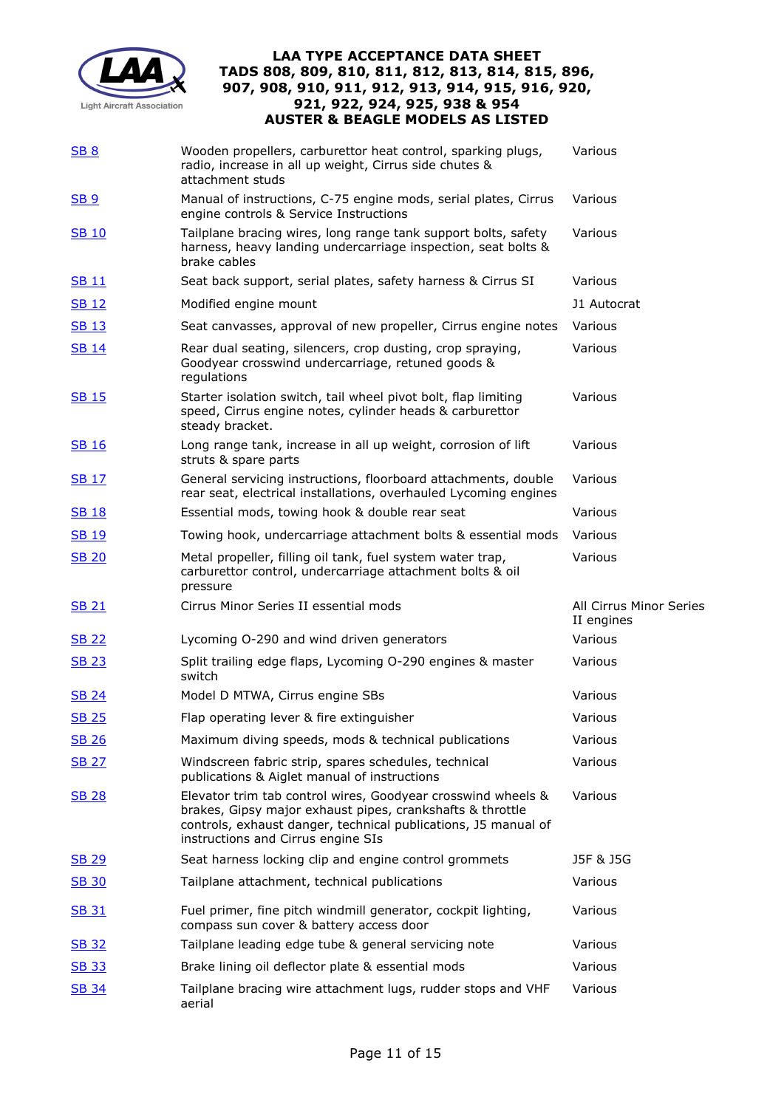

| <b>SB 8</b>     | Wooden propellers, carburettor heat control, sparking plugs,<br>radio, increase in all up weight, Cirrus side chutes &<br>attachment studs                                                                                        | Various                               |
|-----------------|-----------------------------------------------------------------------------------------------------------------------------------------------------------------------------------------------------------------------------------|---------------------------------------|
| SB <sub>9</sub> | Manual of instructions, C-75 engine mods, serial plates, Cirrus<br>engine controls & Service Instructions                                                                                                                         | Various                               |
| <b>SB 10</b>    | Tailplane bracing wires, long range tank support bolts, safety<br>harness, heavy landing undercarriage inspection, seat bolts &<br>brake cables                                                                                   | Various                               |
| <b>SB 11</b>    | Seat back support, serial plates, safety harness & Cirrus SI                                                                                                                                                                      | Various                               |
| <b>SB 12</b>    | Modified engine mount                                                                                                                                                                                                             | J1 Autocrat                           |
| <b>SB 13</b>    | Seat canvasses, approval of new propeller, Cirrus engine notes                                                                                                                                                                    | Various                               |
| <b>SB 14</b>    | Rear dual seating, silencers, crop dusting, crop spraying,<br>Goodyear crosswind undercarriage, retuned goods &<br>regulations                                                                                                    | Various                               |
| <b>SB 15</b>    | Starter isolation switch, tail wheel pivot bolt, flap limiting<br>speed, Cirrus engine notes, cylinder heads & carburettor<br>steady bracket.                                                                                     | Various                               |
| <b>SB 16</b>    | Long range tank, increase in all up weight, corrosion of lift<br>struts & spare parts                                                                                                                                             | Various                               |
| <u>SB 17</u>    | General servicing instructions, floorboard attachments, double<br>rear seat, electrical installations, overhauled Lycoming engines                                                                                                | Various                               |
| <b>SB 18</b>    | Essential mods, towing hook & double rear seat                                                                                                                                                                                    | Various                               |
| <b>SB 19</b>    | Towing hook, undercarriage attachment bolts & essential mods                                                                                                                                                                      | Various                               |
| <b>SB 20</b>    | Metal propeller, filling oil tank, fuel system water trap,<br>carburettor control, undercarriage attachment bolts & oil<br>pressure                                                                                               | Various                               |
| <b>SB 21</b>    | Cirrus Minor Series II essential mods                                                                                                                                                                                             | All Cirrus Minor Series<br>II engines |
| <b>SB 22</b>    | Lycoming O-290 and wind driven generators                                                                                                                                                                                         |                                       |
|                 |                                                                                                                                                                                                                                   | Various                               |
| <b>SB 23</b>    | Split trailing edge flaps, Lycoming O-290 engines & master<br>switch                                                                                                                                                              | Various                               |
| <b>SB 24</b>    | Model D MTWA, Cirrus engine SBs                                                                                                                                                                                                   | Various                               |
| <b>SB 25</b>    | Flap operating lever & fire extinguisher                                                                                                                                                                                          | Various                               |
| <b>SB 26</b>    | Maximum diving speeds, mods & technical publications                                                                                                                                                                              | Various                               |
| <b>SB 27</b>    | Windscreen fabric strip, spares schedules, technical<br>publications & Aiglet manual of instructions                                                                                                                              | Various                               |
| <b>SB 28</b>    | Elevator trim tab control wires, Goodyear crosswind wheels &<br>brakes, Gipsy major exhaust pipes, crankshafts & throttle<br>controls, exhaust danger, technical publications, J5 manual of<br>instructions and Cirrus engine SIs | Various                               |
| <b>SB 29</b>    | Seat harness locking clip and engine control grommets                                                                                                                                                                             | J5F & J5G                             |
| <b>SB 30</b>    | Tailplane attachment, technical publications                                                                                                                                                                                      | Various                               |
| <b>SB 31</b>    | Fuel primer, fine pitch windmill generator, cockpit lighting,<br>compass sun cover & battery access door                                                                                                                          | Various                               |
| <b>SB 32</b>    | Tailplane leading edge tube & general servicing note                                                                                                                                                                              | Various                               |
| <b>SB 33</b>    | Brake lining oil deflector plate & essential mods                                                                                                                                                                                 | Various                               |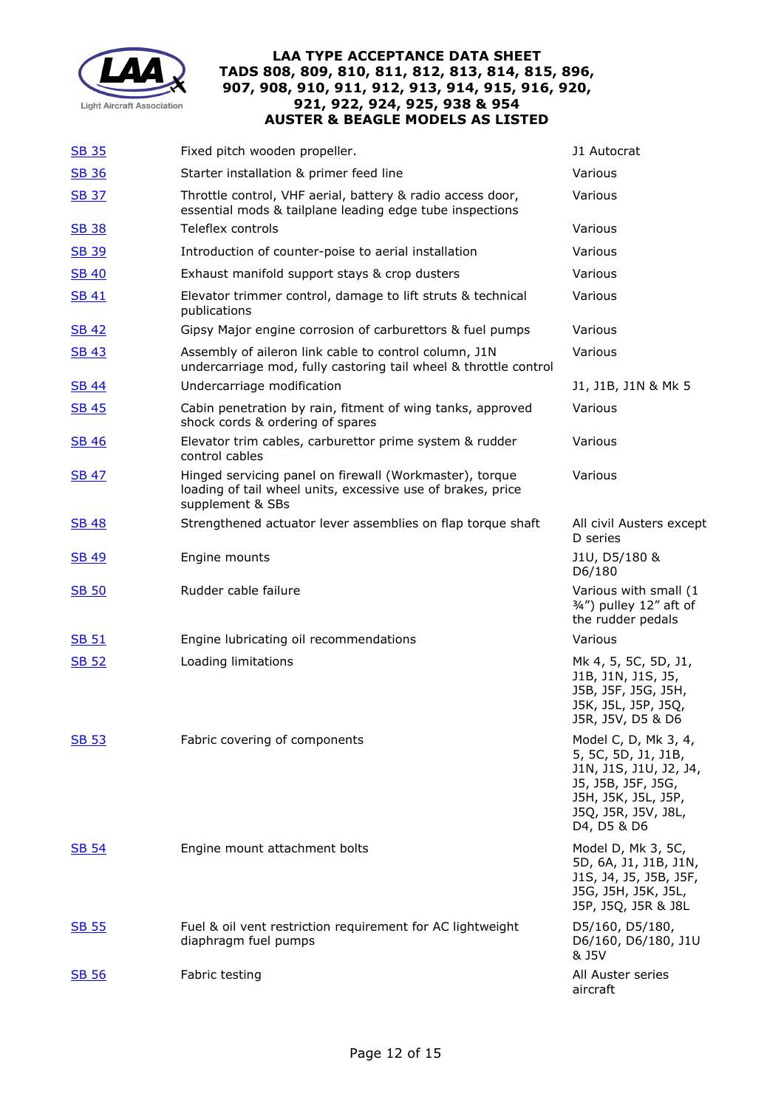

| <b>SB 35</b> | Fixed pitch wooden propeller.                                                                                                              | J1 Autocrat                                                                                                                                              |
|--------------|--------------------------------------------------------------------------------------------------------------------------------------------|----------------------------------------------------------------------------------------------------------------------------------------------------------|
| <b>SB 36</b> | Starter installation & primer feed line                                                                                                    | Various                                                                                                                                                  |
| <b>SB 37</b> | Throttle control, VHF aerial, battery & radio access door,<br>essential mods & tailplane leading edge tube inspections                     | Various                                                                                                                                                  |
| <b>SB 38</b> | Teleflex controls                                                                                                                          | Various                                                                                                                                                  |
| <u>SB 39</u> | Introduction of counter-poise to aerial installation                                                                                       | Various                                                                                                                                                  |
| <b>SB 40</b> | Exhaust manifold support stays & crop dusters                                                                                              | Various                                                                                                                                                  |
| <b>SB 41</b> | Elevator trimmer control, damage to lift struts & technical<br>publications                                                                | Various                                                                                                                                                  |
| <b>SB 42</b> | Gipsy Major engine corrosion of carburettors & fuel pumps                                                                                  | Various                                                                                                                                                  |
| <b>SB 43</b> | Assembly of aileron link cable to control column, J1N<br>undercarriage mod, fully castoring tail wheel & throttle control                  | Various                                                                                                                                                  |
| <b>SB 44</b> | Undercarriage modification                                                                                                                 | J1, J1B, J1N & Mk 5                                                                                                                                      |
| <b>SB 45</b> | Cabin penetration by rain, fitment of wing tanks, approved<br>shock cords & ordering of spares                                             | Various                                                                                                                                                  |
| <b>SB 46</b> | Elevator trim cables, carburettor prime system & rudder<br>control cables                                                                  | Various                                                                                                                                                  |
| <b>SB 47</b> | Hinged servicing panel on firewall (Workmaster), torque<br>loading of tail wheel units, excessive use of brakes, price<br>supplement & SBs | Various                                                                                                                                                  |
| <b>SB 48</b> | Strengthened actuator lever assemblies on flap torque shaft                                                                                | All civil Austers except<br>D series                                                                                                                     |
| <u>SB 49</u> | Engine mounts                                                                                                                              | J1U, D5/180 &<br>D6/180                                                                                                                                  |
| <b>SB 50</b> | Rudder cable failure                                                                                                                       | Various with small (1<br>3/4") pulley 12" aft of<br>the rudder pedals                                                                                    |
| <b>SB 51</b> | Engine lubricating oil recommendations                                                                                                     | Various                                                                                                                                                  |
| <b>SB 52</b> | Loading limitations                                                                                                                        | Mk 4, 5, 5C, 5D, J1,<br>J1B, J1N, J1S, J5,<br>J5B, J5F, J5G, J5H,<br>J5K, J5L, J5P, J5Q,<br>J5R, J5V, D5 & D6                                            |
| <b>SB 53</b> | Fabric covering of components                                                                                                              | Model C, D, Mk 3, 4,<br>5, 5C, 5D, J1, J1B,<br>J1N, J1S, J1U, J2, J4,<br>J5, J5B, J5F, J5G,<br>J5H, J5K, J5L, J5P,<br>J5Q, J5R, J5V, J8L,<br>D4, D5 & D6 |
| <b>SB 54</b> | Engine mount attachment bolts                                                                                                              | Model D, Mk 3, 5C,<br>5D, 6A, J1, J1B, J1N,<br>J1S, J4, J5, J5B, J5F,<br>J5G, J5H, J5K, J5L,<br>J5P, J5Q, J5R & J8L                                      |
| <b>SB 55</b> | Fuel & oil vent restriction requirement for AC lightweight<br>diaphragm fuel pumps                                                         | D5/160, D5/180,<br>D6/160, D6/180, J1U<br>& J5V                                                                                                          |
| <b>SB 56</b> | Fabric testing                                                                                                                             | All Auster series<br>aircraft                                                                                                                            |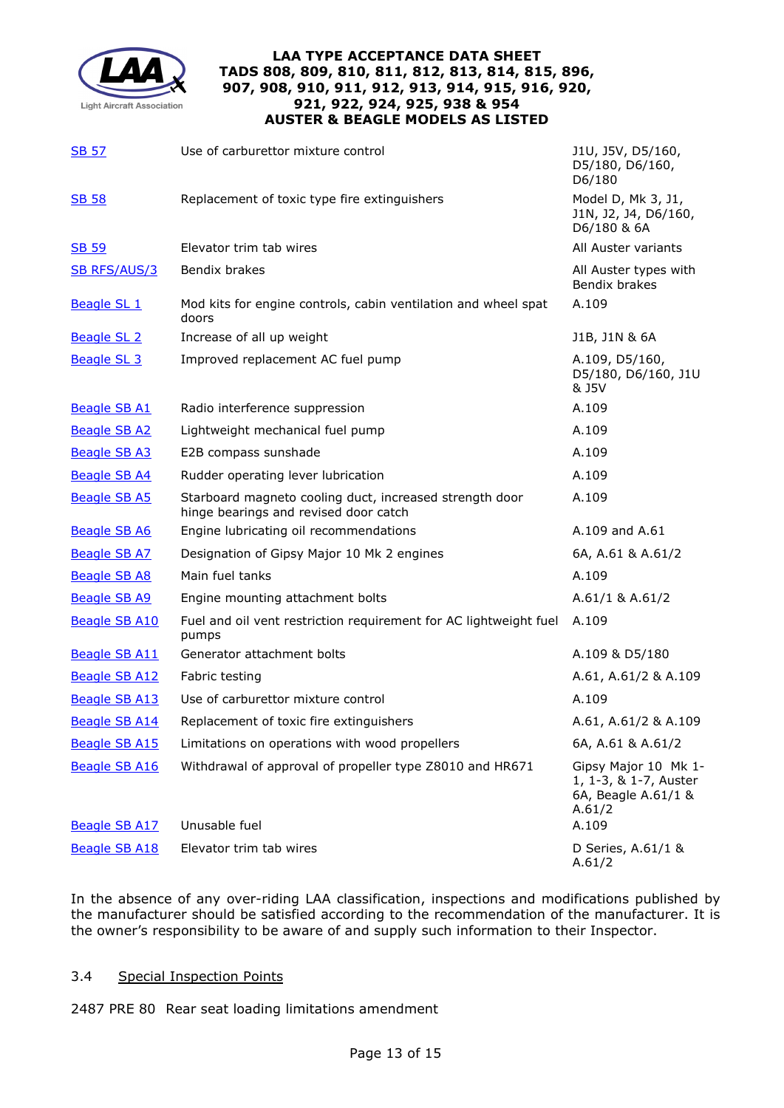

| <b>SB 57</b>                                 | Use of carburettor mixture control                                                               | J1U, J5V, D5/160,<br>D5/180, D6/160,<br>D6/180                                          |
|----------------------------------------------|--------------------------------------------------------------------------------------------------|-----------------------------------------------------------------------------------------|
| <b>SB 58</b>                                 | Replacement of toxic type fire extinguishers                                                     | Model D, Mk 3, J1,<br>J1N, J2, J4, D6/160,<br>D6/180 & 6A                               |
| SB 59                                        | Elevator trim tab wires                                                                          | All Auster variants                                                                     |
| <b>SB RFS/AUS/3</b>                          | Bendix brakes                                                                                    | All Auster types with<br>Bendix brakes                                                  |
| <b>Beagle SL 1</b>                           | Mod kits for engine controls, cabin ventilation and wheel spat<br>doors                          | A.109                                                                                   |
| <b>Beagle SL 2</b>                           | Increase of all up weight                                                                        | J1B, J1N & 6A                                                                           |
| <b>Beagle SL 3</b>                           | Improved replacement AC fuel pump                                                                | A.109, D5/160,<br>D5/180, D6/160, J1U<br>& J5V                                          |
| <b>Beagle SB A1</b>                          | Radio interference suppression                                                                   | A.109                                                                                   |
| <b>Beagle SB A2</b>                          | Lightweight mechanical fuel pump                                                                 | A.109                                                                                   |
| <b>Beagle SB A3</b>                          | E2B compass sunshade                                                                             | A.109                                                                                   |
| <b>Beagle SB A4</b>                          | Rudder operating lever lubrication                                                               | A.109                                                                                   |
| <b>Beagle SB A5</b>                          | Starboard magneto cooling duct, increased strength door<br>hinge bearings and revised door catch | A.109                                                                                   |
| <b>Beagle SB A6</b>                          | Engine lubricating oil recommendations                                                           | A.109 and A.61                                                                          |
| <b>Beagle SB A7</b>                          | Designation of Gipsy Major 10 Mk 2 engines                                                       | 6A, A.61 & A.61/2                                                                       |
| <b>Beagle SB A8</b>                          | Main fuel tanks                                                                                  | A.109                                                                                   |
| <b>Beagle SB A9</b>                          | Engine mounting attachment bolts                                                                 | A.61/1 & A.61/2                                                                         |
| <b>Beagle SB A10</b>                         | Fuel and oil vent restriction requirement for AC lightweight fuel<br>pumps                       | A.109                                                                                   |
| <b>Beagle SB A11</b>                         | Generator attachment bolts                                                                       | A.109 & D5/180                                                                          |
| <b>Beagle SB A12</b>                         | Fabric testing                                                                                   | A.61, A.61/2 & A.109                                                                    |
| <b>Beagle SB A13</b>                         | Use of carburettor mixture control                                                               | A.109                                                                                   |
| <b>Beagle SB A14</b>                         | Replacement of toxic fire extinguishers                                                          | A.61, A.61/2 & A.109                                                                    |
| <b>Beagle SB A15</b>                         | Limitations on operations with wood propellers                                                   | 6A, A.61 & A.61/2                                                                       |
| <b>Beagle SB A16</b><br><b>Beagle SB A17</b> | Withdrawal of approval of propeller type Z8010 and HR671<br>Unusable fuel                        | Gipsy Major 10 Mk 1-<br>1, 1-3, & 1-7, Auster<br>6A, Beagle A.61/1 &<br>A.61/2<br>A.109 |
| <b>Beagle SB A18</b>                         | Elevator trim tab wires                                                                          | D Series, A.61/1 &                                                                      |
|                                              |                                                                                                  | A.61/2                                                                                  |

In the absence of any over-riding LAA classification, inspections and modifications published by the manufacturer should be satisfied according to the recommendation of the manufacturer. It is the owner's responsibility to be aware of and supply such information to their Inspector.

# 3.4 Special Inspection Points

2487 PRE 80 Rear seat loading limitations amendment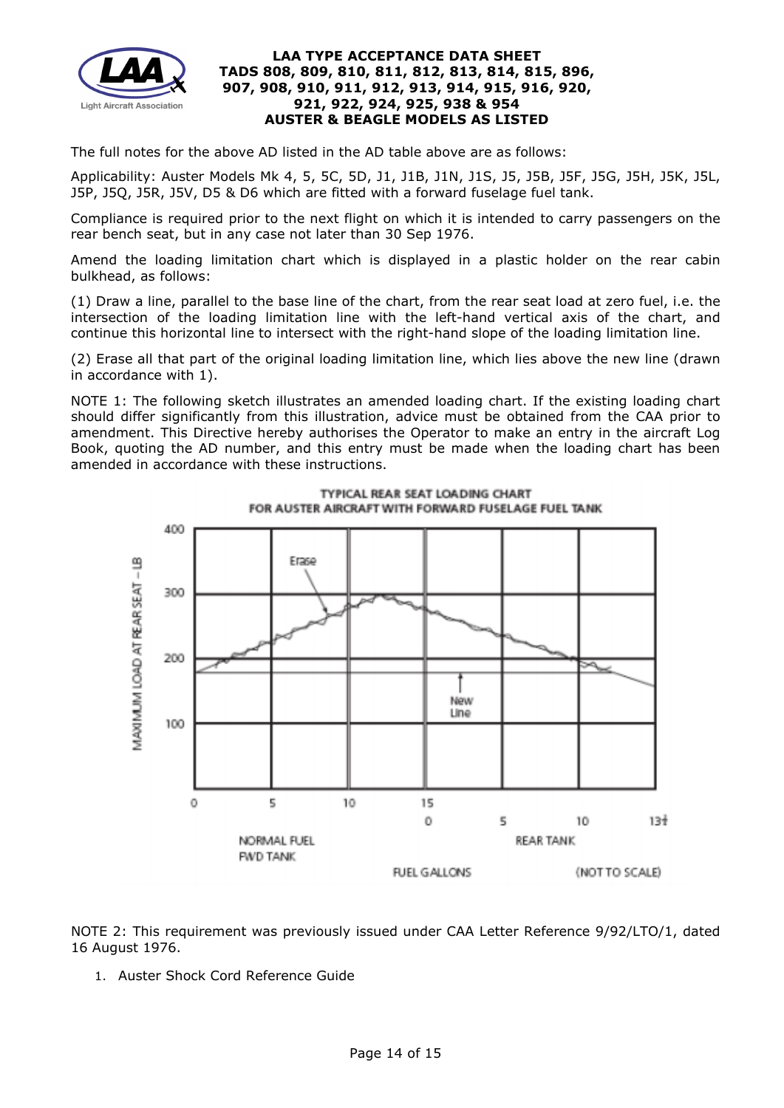

The full notes for the above AD listed in the AD table above are as follows:

Applicability: Auster Models Mk 4, 5, 5C, 5D, J1, J1B, J1N, J1S, J5, J5B, J5F, J5G, J5H, J5K, J5L, J5P, J5Q, J5R, J5V, D5 & D6 which are fitted with a forward fuselage fuel tank.

Compliance is required prior to the next flight on which it is intended to carry passengers on the rear bench seat, but in any case not later than 30 Sep 1976.

Amend the loading limitation chart which is displayed in a plastic holder on the rear cabin bulkhead, as follows:

(1) Draw a line, parallel to the base line of the chart, from the rear seat load at zero fuel, i.e. the intersection of the loading limitation line with the left-hand vertical axis of the chart, and continue this horizontal line to intersect with the right-hand slope of the loading limitation line.

(2) Erase all that part of the original loading limitation line, which lies above the new line (drawn in accordance with 1).

NOTE 1: The following sketch illustrates an amended loading chart. If the existing loading chart should differ significantly from this illustration, advice must be obtained from the CAA prior to amendment. This Directive hereby authorises the Operator to make an entry in the aircraft Log Book, quoting the AD number, and this entry must be made when the loading chart has been amended in accordance with these instructions.





NOTE 2: This requirement was previously issued under CAA Letter Reference 9/92/LTO/1, dated 16 August 1976.

1. Auster Shock Cord Reference Guide